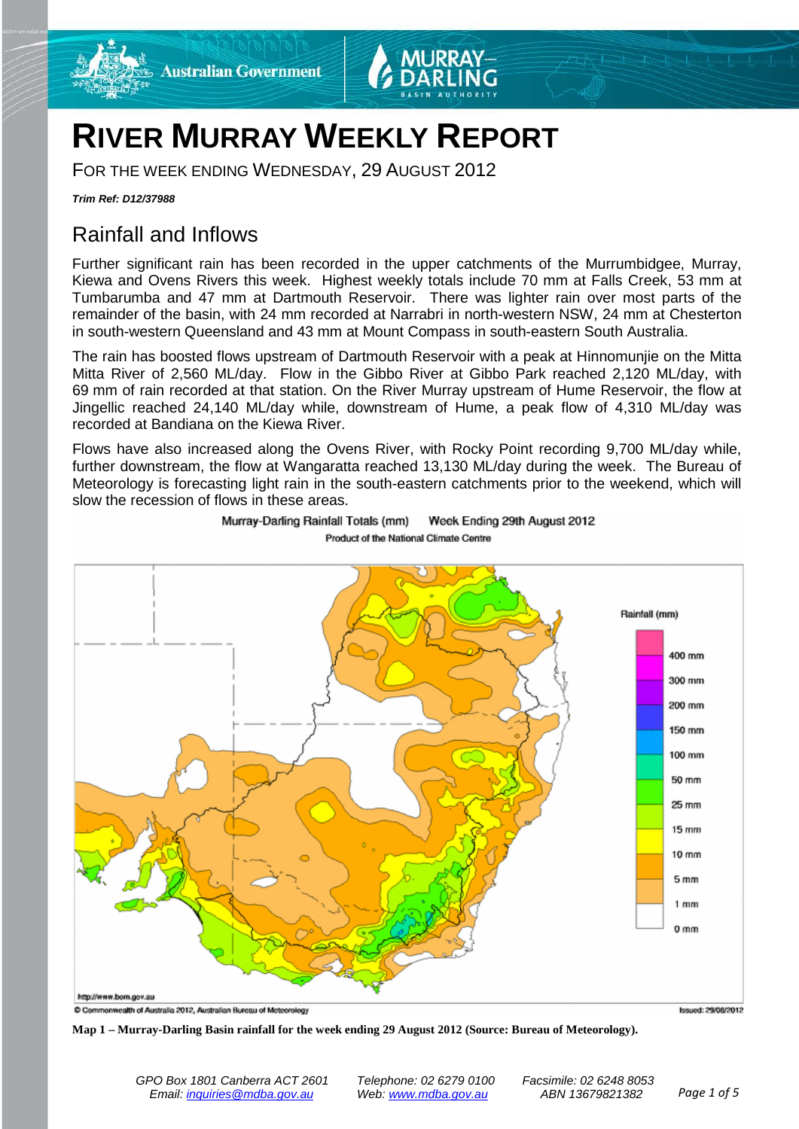

# **RIVER MURRAY WEEKLY REPORT**

FOR THE WEEK ENDING WEDNESDAY, 29 AUGUST 2012

*Trim Ref: D12/37988*

# Rainfall and Inflows

Further significant rain has been recorded in the upper catchments of the Murrumbidgee, Murray, Kiewa and Ovens Rivers this week. Highest weekly totals include 70 mm at Falls Creek, 53 mm at Tumbarumba and 47 mm at Dartmouth Reservoir. There was lighter rain over most parts of the remainder of the basin, with 24 mm recorded at Narrabri in north-western NSW, 24 mm at Chesterton in south-western Queensland and 43 mm at Mount Compass in south-eastern South Australia.

The rain has boosted flows upstream of Dartmouth Reservoir with a peak at Hinnomunjie on the Mitta Mitta River of 2,560 ML/day. Flow in the Gibbo River at Gibbo Park reached 2,120 ML/day, with 69 mm of rain recorded at that station. On the River Murray upstream of Hume Reservoir, the flow at Jingellic reached 24,140 ML/day while, downstream of Hume, a peak flow of 4,310 ML/day was recorded at Bandiana on the Kiewa River.

Flows have also increased along the Ovens River, with Rocky Point recording 9,700 ML/day while, further downstream, the flow at Wangaratta reached 13,130 ML/day during the week. The Bureau of Meteorology is forecasting light rain in the south-eastern catchments prior to the weekend, which will slow the recession of flows in these areas.



Murray-Darling Rainfall Totals (mm) Week Ending 29th August 2012 Product of the National Climate Centre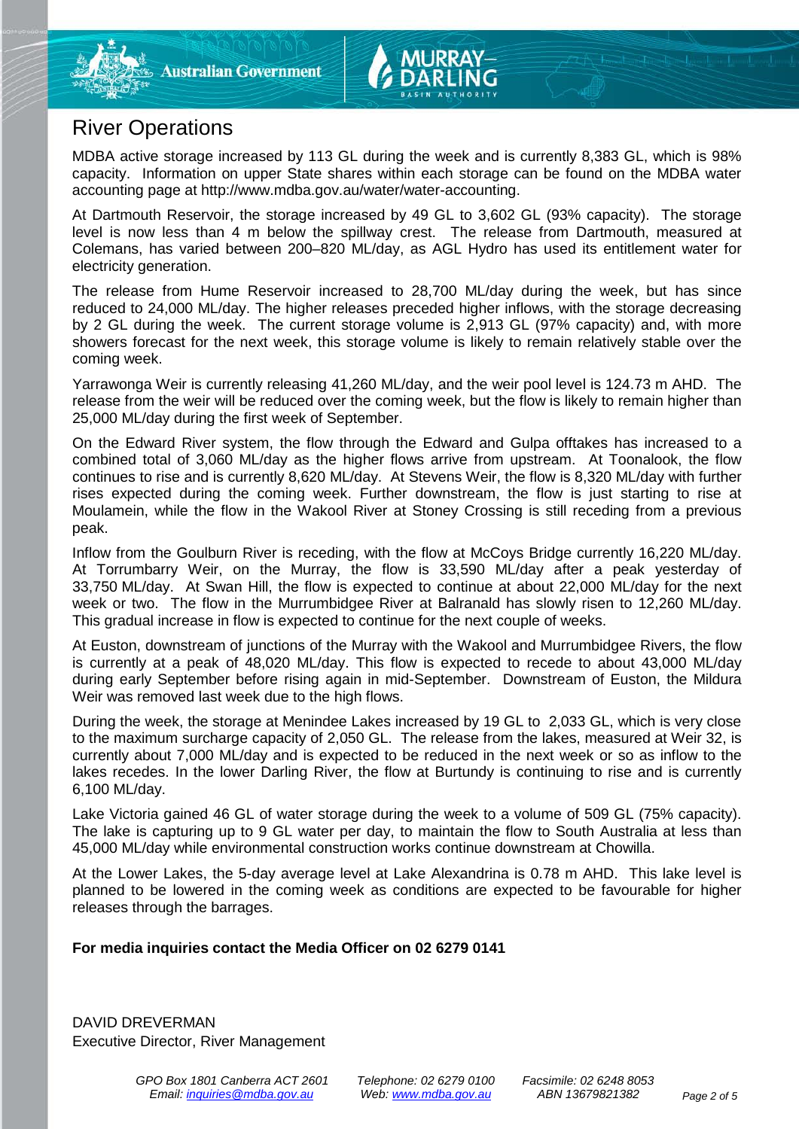## River Operations

MDBA active storage increased by 113 GL during the week and is currently 8,383 GL, which is 98% capacity. Information on upper State shares within each storage can be found on the MDBA water accounting page at http://www.mdba.gov.au/water/water-accounting.

At Dartmouth Reservoir, the storage increased by 49 GL to 3,602 GL (93% capacity). The storage level is now less than 4 m below the spillway crest. The release from Dartmouth, measured at Colemans, has varied between 200–820 ML/day, as AGL Hydro has used its entitlement water for electricity generation.

The release from Hume Reservoir increased to 28,700 ML/day during the week, but has since reduced to 24,000 ML/day. The higher releases preceded higher inflows, with the storage decreasing by 2 GL during the week. The current storage volume is 2,913 GL (97% capacity) and, with more showers forecast for the next week, this storage volume is likely to remain relatively stable over the coming week.

Yarrawonga Weir is currently releasing 41,260 ML/day, and the weir pool level is 124.73 m AHD. The release from the weir will be reduced over the coming week, but the flow is likely to remain higher than 25,000 ML/day during the first week of September.

On the Edward River system, the flow through the Edward and Gulpa offtakes has increased to a combined total of 3,060 ML/day as the higher flows arrive from upstream. At Toonalook, the flow continues to rise and is currently 8,620 ML/day. At Stevens Weir, the flow is 8,320 ML/day with further rises expected during the coming week. Further downstream, the flow is just starting to rise at Moulamein, while the flow in the Wakool River at Stoney Crossing is still receding from a previous peak.

Inflow from the Goulburn River is receding, with the flow at McCoys Bridge currently 16,220 ML/day. At Torrumbarry Weir, on the Murray, the flow is 33,590 ML/day after a peak yesterday of 33,750 ML/day. At Swan Hill, the flow is expected to continue at about 22,000 ML/day for the next week or two. The flow in the Murrumbidgee River at Balranald has slowly risen to 12,260 ML/day. This gradual increase in flow is expected to continue for the next couple of weeks.

At Euston, downstream of junctions of the Murray with the Wakool and Murrumbidgee Rivers, the flow is currently at a peak of 48,020 ML/day. This flow is expected to recede to about 43,000 ML/day during early September before rising again in mid-September. Downstream of Euston, the Mildura Weir was removed last week due to the high flows.

During the week, the storage at Menindee Lakes increased by 19 GL to 2,033 GL, which is very close to the maximum surcharge capacity of 2,050 GL. The release from the lakes, measured at Weir 32, is currently about 7,000 ML/day and is expected to be reduced in the next week or so as inflow to the lakes recedes. In the lower Darling River, the flow at Burtundy is continuing to rise and is currently 6,100 ML/day.

Lake Victoria gained 46 GL of water storage during the week to a volume of 509 GL (75% capacity). The lake is capturing up to 9 GL water per day, to maintain the flow to South Australia at less than 45,000 ML/day while environmental construction works continue downstream at Chowilla.

At the Lower Lakes, the 5-day average level at Lake Alexandrina is 0.78 m AHD. This lake level is planned to be lowered in the coming week as conditions are expected to be favourable for higher releases through the barrages.

#### **For media inquiries contact the Media Officer on 02 6279 0141**

DAVID DREVERMAN Executive Director, River Management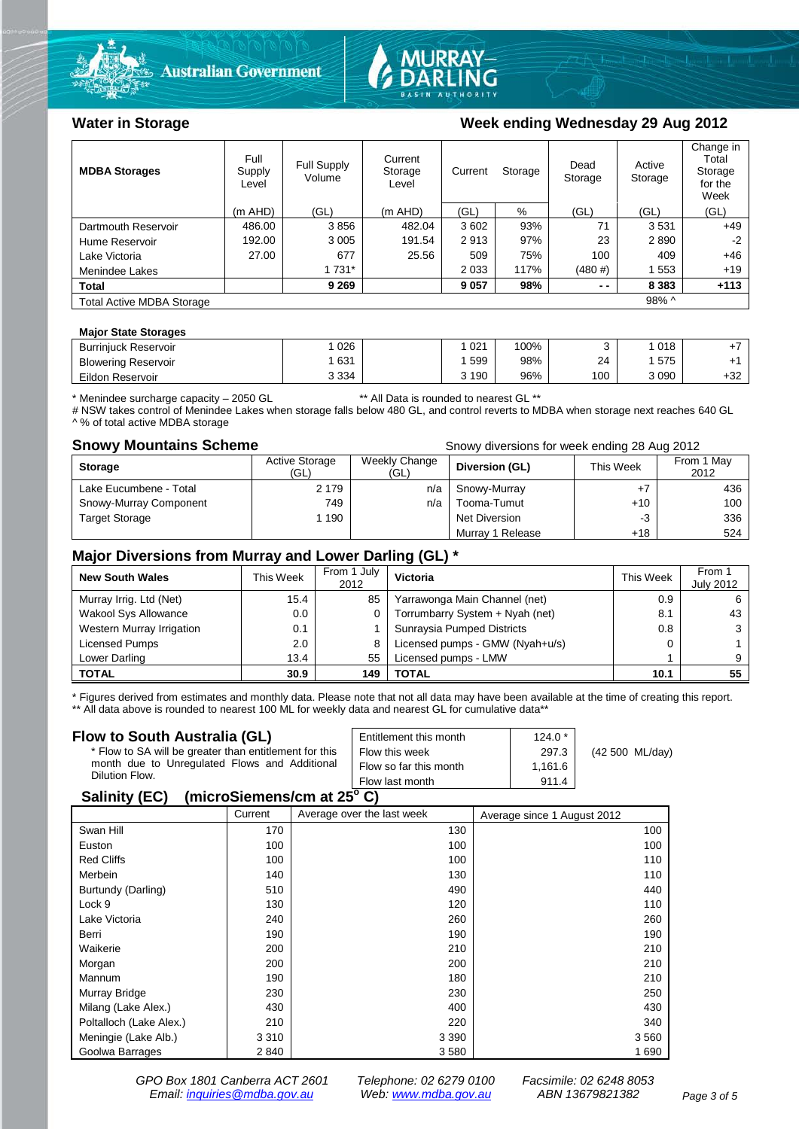



### Water in Storage **Water in Storage Week ending Wednesday 29 Aug 2012**

| <b>MDBA Storages</b>             | Full<br>Supply<br>Level | Full Supply<br>Volume | Current<br>Storage<br>Level | Current<br>Storage |      | Dead<br>Storage | Active<br>Storage | Change in<br>Total<br>Storage<br>for the<br>Week |
|----------------------------------|-------------------------|-----------------------|-----------------------------|--------------------|------|-----------------|-------------------|--------------------------------------------------|
|                                  | $(m$ AHD)               | (GL)                  | (m AHD)                     | (GL)               | %    | (GL)            | (GL)              | (GL)                                             |
| Dartmouth Reservoir              | 486.00                  | 3856                  | 482.04                      | 3602               | 93%  | 71              | 3531              | $+49$                                            |
| Hume Reservoir                   | 192.00                  | 3 0 0 5               | 191.54                      | 2913               | 97%  | 23              | 2890              | $-2$                                             |
| Lake Victoria                    | 27.00                   | 677                   | 25.56                       | 509                | 75%  | 100             | 409               | $+46$                                            |
| Menindee Lakes                   |                         | 1 7 3 1 *             |                             | 2 0 3 3            | 117% | $(480 \#)$      | 553               | $+19$                                            |
| <b>Total</b>                     |                         | 9 2 6 9               |                             | 9 0 5 7            | 98%  | $ -$            | 8 3 8 3           | $+113$                                           |
| <b>Total Active MDBA Storage</b> |                         |                       |                             |                    |      |                 | $98\%$ ^          |                                                  |

#### **Major State Storages**

| <b>Burrinjuck Reservoir</b> | 026     | 021   | 100% |     | 018  |     |
|-----------------------------|---------|-------|------|-----|------|-----|
| <b>Blowering Reservoir</b>  | 631     | 599   | 98%  | 24  | 575  |     |
| Eildon Reservoir            | 3 3 3 4 | 3 190 | 96%  | 100 | 3090 | +32 |

\* Menindee surcharge capacity – 2050 GL \*\* All Data is rounded to nearest GL \*\*

# NSW takes control of Menindee Lakes when storage falls below 480 GL, and control reverts to MDBA when storage next reaches 640 GL A % of total active MDBA storage

**Snowy Mountains Scheme Snowy diversions for week ending 28 Aug 2012** 

| <b>Storage</b>         | Active Storage<br>(GL) | Weekly Change<br>(GL) | Diversion (GL)       | This Week | From 1 May<br>2012 |
|------------------------|------------------------|-----------------------|----------------------|-----------|--------------------|
| Lake Eucumbene - Total | 2 1 7 9                | n/a                   | Snowy-Murray         |           | 436                |
| Snowy-Murray Component | 749                    | n/a                   | Tooma-Tumut          | $+10$     | 100                |
| <b>Target Storage</b>  | 1 1 9 0                |                       | <b>Net Diversion</b> | -3        | 336                |
|                        |                        |                       | Murray 1 Release     | +18       | 524                |

### **Major Diversions from Murray and Lower Darling (GL) \***

| <b>New South Wales</b>      | This Week | From 1 July<br>2012 | Victoria                        | This Week | From 1<br><b>July 2012</b> |
|-----------------------------|-----------|---------------------|---------------------------------|-----------|----------------------------|
| Murray Irrig. Ltd (Net)     | 15.4      | 85                  | Yarrawonga Main Channel (net)   | 0.9       |                            |
| <b>Wakool Sys Allowance</b> | 0.0       | 0                   | Torrumbarry System + Nyah (net) | 8.1       | 43                         |
| Western Murray Irrigation   | 0.1       |                     | Sunraysia Pumped Districts      | 0.8       |                            |
| Licensed Pumps              | 2.0       | 8                   | Licensed pumps - GMW (Nyah+u/s) |           |                            |
| Lower Darling               | 13.4      | 55                  | Licensed pumps - LMW            |           |                            |
| <b>TOTAL</b>                | 30.9      | 149                 | TOTAL                           | 10.1      | 55                         |

\* Figures derived from estimates and monthly data. Please note that not all data may have been available at the time of creating this report.

\*\* All data above is rounded to nearest 100 ML for weekly data and nearest GL for cumulative data\*\*

| Flow to South Australia (GL)                           | Entitlement this month | $124.0*$ |                 |  |  |  |
|--------------------------------------------------------|------------------------|----------|-----------------|--|--|--|
| * Flow to SA will be greater than entitlement for this | Flow this week         | 297.3    | (42 500 ML/day) |  |  |  |
| month due to Unregulated Flows and Additional          | Flow so far this month | 1.161.6  |                 |  |  |  |
| Dilution Flow.                                         | Flow last month        | 911.4    |                 |  |  |  |
| $P = 1!!41P P V$                                       |                        |          |                 |  |  |  |

#### **Salinity (EC)** (microSiemens/cm at 25°C)

|                         | Current | Average over the last week | Average since 1 August 2012 |
|-------------------------|---------|----------------------------|-----------------------------|
| Swan Hill               | 170     | 130                        | 100                         |
| Euston                  | 100     | 100                        | 100                         |
| <b>Red Cliffs</b>       | 100     | 100                        | 110                         |
| Merbein                 | 140     | 130                        | 110                         |
| Burtundy (Darling)      | 510     | 490                        | 440                         |
| Lock 9                  | 130     | 120                        | 110                         |
| Lake Victoria           | 240     | 260                        | 260                         |
| Berri                   | 190     | 190                        | 190                         |
| Waikerie                | 200     | 210                        | 210                         |
| Morgan                  | 200     | 200                        | 210                         |
| Mannum                  | 190     | 180                        | 210                         |
| Murray Bridge           | 230     | 230                        | 250                         |
| Milang (Lake Alex.)     | 430     | 400                        | 430                         |
| Poltalloch (Lake Alex.) | 210     | 220                        | 340                         |
| Meningie (Lake Alb.)    | 3 3 1 0 | 3 3 9 0                    | 3 5 6 0                     |
| Goolwa Barrages         | 2840    | 3580                       | 1 6 9 0                     |

*GPO Box 1801 Canberra ACT 2601 Telephone: 02 6279 0100 Facsimile: 02 6248 8053 Email: [inquiries@mdba.gov.au](mailto:inquiries@mdba.gov.au) Web: [www.mdba.gov.au](http://www.mdba.gov.au/) ABN 13679821382 Page 3 of 5*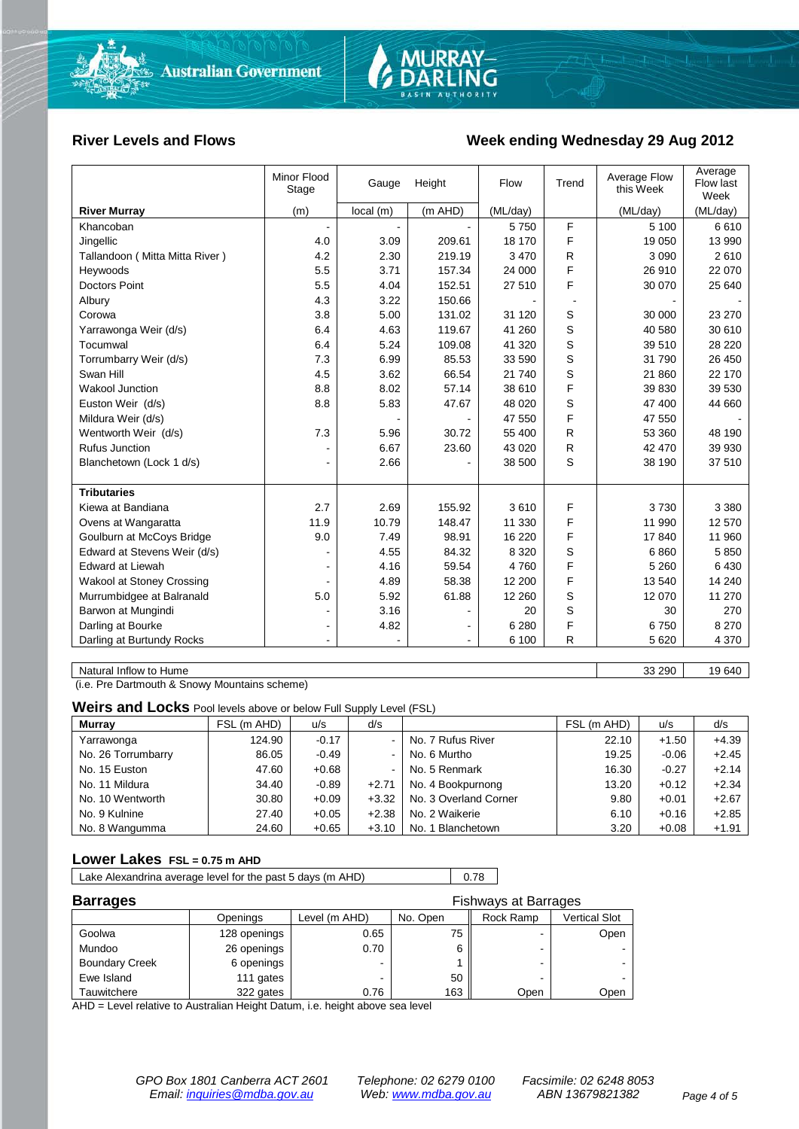

#### **River Levels and Flows Week ending Wednesday 29 Aug 2012**

|                                  | Minor Flood<br>Stage | Gauge     | Height  | Flow     | Trend | Average Flow<br>this Week | Average<br>Flow last<br>Week |
|----------------------------------|----------------------|-----------|---------|----------|-------|---------------------------|------------------------------|
| <b>River Murray</b>              | (m)                  | local (m) | (m AHD) | (ML/day) |       | (ML/day)                  | (ML/day)                     |
| Khancoban                        | $\blacksquare$       |           |         | 5750     | F     | 5 100                     | 6610                         |
| Jingellic                        | 4.0                  | 3.09      | 209.61  | 18 170   | F     | 19 050                    | 13 990                       |
| Tallandoon (Mitta Mitta River)   | 4.2                  | 2.30      | 219.19  | 3 4 7 0  | R     | 3 0 9 0                   | 2610                         |
| Heywoods                         | 5.5                  | 3.71      | 157.34  | 24 000   | F     | 26 910                    | 22 070                       |
| <b>Doctors Point</b>             | 5.5                  | 4.04      | 152.51  | 27 510   | F     | 30 070                    | 25 640                       |
| Albury                           | 4.3                  | 3.22      | 150.66  |          |       |                           |                              |
| Corowa                           | 3.8                  | 5.00      | 131.02  | 31 1 20  | S     | 30 000                    | 23 270                       |
| Yarrawonga Weir (d/s)            | 6.4                  | 4.63      | 119.67  | 41 260   | S     | 40 580                    | 30 610                       |
| Tocumwal                         | 6.4                  | 5.24      | 109.08  | 41 320   | S     | 39 510                    | 28 2 20                      |
| Torrumbarry Weir (d/s)           | 7.3                  | 6.99      | 85.53   | 33 590   | S     | 31 790                    | 26 450                       |
| Swan Hill                        | 4.5                  | 3.62      | 66.54   | 21 740   | S     | 21 860                    | 22 170                       |
| <b>Wakool Junction</b>           | 8.8                  | 8.02      | 57.14   | 38 610   | F     | 39 830                    | 39 530                       |
| Euston Weir (d/s)                | 8.8                  | 5.83      | 47.67   | 48 0 20  | S     | 47 400                    | 44 660                       |
| Mildura Weir (d/s)               |                      |           |         | 47 550   | F     | 47 550                    |                              |
| Wentworth Weir (d/s)             | 7.3                  | 5.96      | 30.72   | 55 400   | R     | 53 360                    | 48 190                       |
| <b>Rufus Junction</b>            |                      | 6.67      | 23.60   | 43 0 20  | R.    | 42 470                    | 39 930                       |
| Blanchetown (Lock 1 d/s)         | ۰                    | 2.66      |         | 38 500   | S     | 38 190                    | 37 510                       |
|                                  |                      |           |         |          |       |                           |                              |
| <b>Tributaries</b>               |                      |           |         |          |       |                           |                              |
| Kiewa at Bandiana                | 2.7                  | 2.69      | 155.92  | 3610     | F     | 3730                      | 3 3 8 0                      |
| Ovens at Wangaratta              | 11.9                 | 10.79     | 148.47  | 11 330   | F     | 11 990                    | 12 570                       |
| Goulburn at McCoys Bridge        | 9.0                  | 7.49      | 98.91   | 16 220   | F     | 17840                     | 11 960                       |
| Edward at Stevens Weir (d/s)     |                      | 4.55      | 84.32   | 8 3 2 0  | S     | 6860                      | 5850                         |
| <b>Edward at Liewah</b>          |                      | 4.16      | 59.54   | 4760     | F     | 5 2 6 0                   | 6430                         |
| <b>Wakool at Stoney Crossing</b> |                      | 4.89      | 58.38   | 12 200   | F     | 13 540                    | 14 240                       |
| Murrumbidgee at Balranald        | 5.0                  | 5.92      | 61.88   | 12 260   | S     | 12 070                    | 11 270                       |
| Barwon at Mungindi               |                      | 3.16      |         | 20       | S     | 30                        | 270                          |
| Darling at Bourke                | $\blacksquare$       | 4.82      |         | 6 2 8 0  | F     | 6750                      | 8 2 7 0                      |
| Darling at Burtundy Rocks        |                      |           |         | 6 100    | R     | 5 6 20                    | 4 3 7 0                      |

Natural Inflow to Hume 33 290 | 19 640

(i.e. Pre Dartmouth & Snowy Mountains scheme)

**Weirs and Locks** Pool levels above or below Full Supply Level (FSL)

| <b>Murrav</b>      | FSL (m AHD) | u/s     | d/s     |                       | FSL (m AHD) | u/s     | d/s     |
|--------------------|-------------|---------|---------|-----------------------|-------------|---------|---------|
| Yarrawonga         | 124.90      | $-0.17$ | $\sim$  | No. 7 Rufus River     | 22.10       | $+1.50$ | $+4.39$ |
| No. 26 Torrumbarry | 86.05       | $-0.49$ | $\sim$  | No. 6 Murtho          | 19.25       | $-0.06$ | $+2.45$ |
| No. 15 Euston      | 47.60       | $+0.68$ | ۰.      | No. 5 Renmark         | 16.30       | $-0.27$ | $+2.14$ |
| No. 11 Mildura     | 34.40       | $-0.89$ | $+2.71$ | No. 4 Bookpurnong     | 13.20       | $+0.12$ | $+2.34$ |
| No. 10 Wentworth   | 30.80       | $+0.09$ | $+3.32$ | No. 3 Overland Corner | 9.80        | $+0.01$ | $+2.67$ |
| No. 9 Kulnine      | 27.40       | $+0.05$ | $+2.38$ | No. 2 Waikerie        | 6.10        | $+0.16$ | $+2.85$ |
| No. 8 Wangumma     | 24.60       | $+0.65$ | $+3.10$ | No. 1 Blanchetown     | 3.20        | $+0.08$ | $+1.91$ |

#### **Lower Lakes FSL = 0.75 m AHD**

Lake Alexandrina average level for the past 5 days (m AHD) 0.78

| <b>Barrages</b>       | <b>Fishways at Barrages</b> |               |          |           |               |  |
|-----------------------|-----------------------------|---------------|----------|-----------|---------------|--|
|                       | Openings                    | Level (m AHD) | No. Open | Rock Ramp | Vertical Slot |  |
| Goolwa                | 128 openings                | 0.65          | 75       |           | Open          |  |
| Mundoo                | 26 openings                 | 0.70          | 6        |           |               |  |
| <b>Boundary Creek</b> | 6 openings                  |               |          |           |               |  |
| Ewe Island            | 111 gates                   |               | 50       |           |               |  |
| Tauwitchere           | 322 gates                   | 0.76          | 163      | Open      | Open          |  |

AHD = Level relative to Australian Height Datum, i.e. height above sea level